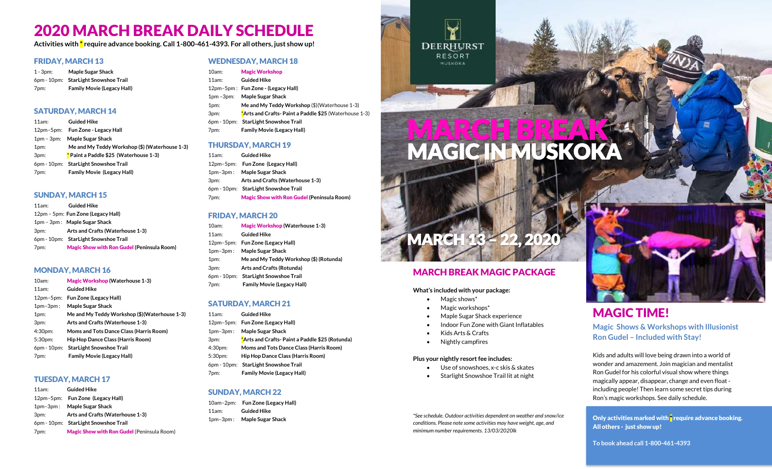# 2020 MARCH BREAK DAILY SCHEDULE

**Activities with \* require advance booking. Call 1-800-461-4393. For all others, just show up!** 

#### FRIDAY, MARCH 13

1 - 3pm: **Maple Sugar Shack**  6pm - 10pm: **StarLight Snowshoe Trail** 7pm: **Family Movie (Legacy Hall)**

### SATURDAY, MARCH 14

11am: **Guided Hike** 12pm–5pm: **Fun Zone - Legacy Hall**  1pm – 3pm: **Maple Sugar Shack**  1pm: **Me and My Teddy Workshop (\$) (Waterhouse 1-3)** 3pm: \* **Paint a Paddle \$25 (Waterhouse 1-3)** 6pm - 10pm: **StarLight Snowshoe Trail** 7pm: **Family Movie (Legacy Hall)**

#### SUNDAY, MARCH 15

11am: **Guided Hike** 12pm – 5pm: **Fun Zone (Legacy Hall)** 1pm – 3pm : **Maple Sugar Shack**  3pm: **Arts and Crafts (Waterhouse 1-3)** 6pm - 10pm: **StarLight Snowshoe Trail** 7pm: Magic Show with Ron Gudel **(Peninsula Room)**

#### MONDAY, MARCH 16

| 10am:       | <b>Magic Workshop (Waterhouse 1-3)</b>        |
|-------------|-----------------------------------------------|
| $11am$ :    | <b>Guided Hike</b>                            |
| $12pm-5pm:$ | Fun Zone (Legacy Hall)                        |
| $1pm-3pm:$  | <b>Maple Sugar Shack</b>                      |
| 1pm:        | Me and My Teddy Workshop (\$)(Waterhouse 1-3) |
| 3pm:        | Arts and Crafts (Waterhouse 1-3)              |
| 4:30pm:     | Moms and Tots Dance Class (Harris Room)       |
| 5:30pm:     | Hip Hop Dance Class (Harris Room)             |
|             | 6pm - 10pm: StarLight Snowshoe Trail          |
| 7pm:        | <b>Family Movie (Legacy Hall)</b>             |

#### TUESDAY, MARCH 17

11am: **Guided Hike** 12pm–5pm: **Fun Zone (Legacy Hall)** 1pm–3pm : **Maple Sugar Shack**  3pm: **Arts and Crafts (Waterhouse 1-3)** 6pm - 10pm: **StarLight Snowshoe Trail** 7pm: Magic Show with Ron Gudel (Peninsula Room)

### WEDNESDAY, MARCH 18

- 10am: Magic Workshop
- 11am: **Guided Hike** 12pm–5pm : **Fun Zone - (Legacy Hall)** 1pm –3pm: **Maple Sugar Shack**  1pm: **Me and My Teddy Workshop** (\$)(Waterhouse 1-3) 3pm: \***Arts and Crafts- Paint a Paddle \$25** (Waterhouse 1-3) 6pm - 10pm: **StarLight Snowshoe Trail** 7pm: **Family Movie (Legacy Hall)**

#### THURSDAY, MARCH 19

11am: **Guided Hike** 12pm–5pm: **Fun Zone (Legacy Hall)** 1pm–3pm : **Maple Sugar Shack**  3pm: **Arts and Crafts (Waterhouse 1-3)** 6pm - 10pm: **StarLight Snowshoe Trail** 7pm: Magic Show with Ron Gudel **(Peninsula Room)**

### FRIDAY, MARCH 20

10am: Magic Workshop **(Waterhouse 1-3)** 11am: **Guided Hike** 12pm–5pm: **Fun Zone (Legacy Hall)** 1pm–3pm : **Maple Sugar Shack**  1pm: **Me and My Teddy Workshop (\$) (Rotunda)** 3pm: **Arts and Crafts (Rotunda)** 6pm - 10pm: **StarLight Snowshoe Trail** 7pm: **Family Movie (Legacy Hall)**

### SATURDAY, MARCH 21

- 11am: **Guided Hike** 12pm–5pm: **Fun Zone (Legacy Hall)** 1pm–3pm : **Maple Sugar Shack**  3pm: \***Arts and Crafts- Paint a Paddle \$25 (Rotunda)** 4:30pm: **Moms and Tots Dance Class (Harris Room)** 5:30pm: **Hip Hop Dance Class (Harris Room)** 6pm - 10pm: **StarLight Snowshoe Trail** 7pm: **Family Movie (Legacy Hall)**
- 

### SUNDAY, MARCH 22

10am–2pm: **Fun Zone (Legacy Hall)** 11am: **Guided Hike** 1pm–3pm : **Maple Sugar Shack** 

**DEERHURST** RESORT MUSKOKA

# MARCH BREAK MAGIC IN MUSKOKA

### MARCH BREAK MAGIC PACKAGE

MARCH 13 – 22, 2020

#### **What's included with your package:**

- Magic shows<sup>\*</sup>
- Magic workshops\*
- Maple Sugar Shack experience
- Indoor Fun Zone with Giant Inflatables
- Kids Arts & Crafts
- Nightly campfires

#### **Plus your nightly resort fee includes:**

- Use of snowshoes, x-c skis & skates
- Starlight Snowshoe Trail lit at night

*\*See schedule. Outdoor activities dependent on weather and snow/ice conditions. Please note some activities may have weight, age, and minimum number requirements. 13/03/2020lk*



# MAGIC TIME!

**Magic Shows & Workshops with Illusionist Ron Gudel – Included with Stay!** 

Kids and adults will love being drawn into a world of wonder and amazement. Join magician and mentalist Ron Gudel for his colorful visual show where things magically appear, disappear, change and even float including people! Then learn some secret tips during Ron's magic workshops. See daily schedule.

Only activities marked with  $*$  require advance booking. All others - just show up!

**To book ahead call 1-800-461-4393**